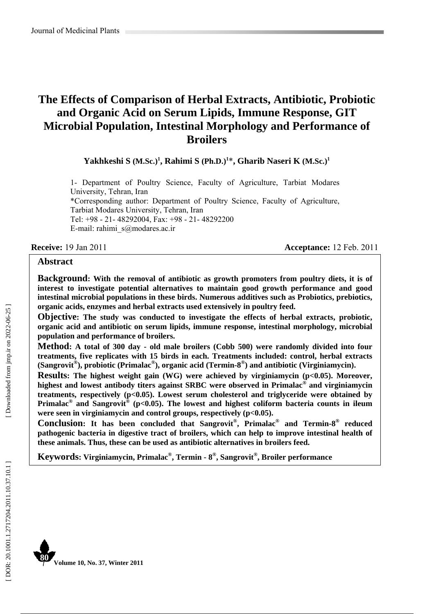# **The Effects of Comparison of Herbal Extracts, Antibiotic, Probiotic and Organic Acid on Serum Lipids, Immune Response, GIT Microbial Population, Intestinal Morphology and Performance of Broilers**

**Yakhkeshi S (M.Sc.) 1 , Rahimi S (Ph.D.) 1** \***, Gharib Naseri K (M.Sc.) 1**

1- Department of Poultry Science, Faculty of Agriculture, Tarbiat Modares University, Tehran, Iran \*Corresponding author: Department of Poultry Science, Faculty of Agriculture, Tarbiat Modares University, Tehran, Iran Tel: +98 - 21- 48292004, Fax: +98 - 21- 48292200 E-mail: rahimi\_s@modares.ac.ir

**Receive:** 19 Jan 2011 **Acceptance:** 12 Feb. 2011

#### **Abstract**

**Background: With the removal of antibiotic as growth promoters from poultry diets, it is of interest to investigate potential alternatives to maintain good growth performance and good intestinal microbial populations in these birds. Numerous additives such as Probiotics, prebiotics, organic acids, enzymes and herbal extracts used extensively in poultry feed.** 

**Objective: The study was conducted to investigate the effects of herbal extracts, probiotic, organic acid and antibiotic on serum lipids, immune response, intestinal morphology, microbial population and performance of broilers.** 

**Method: A total of 300 day - old male broilers (Cobb 500) were randomly divided into four treatments, five replicates with 15 birds in each. Treatments included: control, herbal extracts (Sangrovit ®), probiotic (Primalac ®), organic acid (Termin-8 ®) and antibiotic (Virginiamycin).** 

**Results:** The highest weight gain (WG) were achieved by virginiamycin (p<0.05). Moreover, **highest and lowest antibody titers against SRBC were observed in Primalac ® and virginiamycin treatments, respectively (p<0.05). Lowest serum cholesterol and triglyceride were obtained by**  Primalac<sup>®</sup> and Sangrovit<sup>®</sup> (p<0.05). The lowest and highest coliform bacteria counts in ileum **were seen in virginiamycin and control groups, respectively (p<0.05).** 

**Conclusion: It has been concluded that Sangrovit ®, Primalac ® and Termin-8 ® reduced pathogenic bacteria in digestive tract of broilers, which can help to improve intestinal health of these animals. Thus, these can be used as antibiotic alternatives in broilers feed.** 

**Keywords: Virginiamycin, Primalac ®, Termin - 8 ®, Sangrovit ®, Broiler performance**

Downloaded from jmp.ir on 2022-06-25 ]

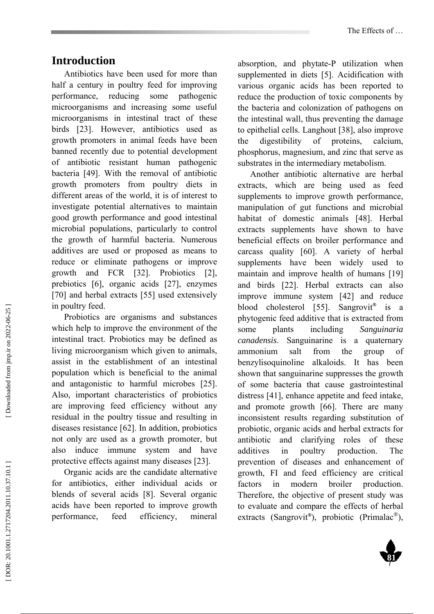# **Introduction**

Antibiotics have been used for more than half a century in poultry feed for improving performance, reducing some pathogenic microorganisms and increasing some useful microorganisms in intestinal tract of these birds [23]. However, antibiotics used as growth promoters in animal feeds have been banned recently due to potential development of antibiotic resistant human pathogenic bacteria [49]. With the removal of antibiotic growth promoters from poultry diets in different areas of the world, it is of interest to investigate potential alternatives to maintain good growth performance and good intestinal microbial populations, particularly to control the growth of harmful bacteria. Numerous additives are used or proposed as means to reduce or eliminate pathogens or improve growth and FCR [32]. Probiotics [2], prebiotics [6], organic acids [27], enzymes [70] and herbal extracts [55] used extensively in poultry feed.

Probiotics are organisms and substances which help to improve the environment of the intestinal tract. Probiotics may be defined as living microorganism which given to animals, assist in the establishment of an intestinal population which is beneficial to the animal and antagonistic to harmful microbes [25]. Also, important characteristics of probiotics are improving feed efficiency without any residual in the poultry tissue and resulting in diseases resistance [62]. In addition, probiotics not only are used as a growth promoter, but also induce immune system and have protective effects against many diseases [23].

Organic acids are the candidate alternative for antibiotics, either individual acids or blends of several acids [8]. Several organic acids have been reported to improve growth performance, feed efficiency, mineral

absorption, and phytate-P utilization when supplemented in diets [5]. Acidification with various organic acids has been reported to reduce the production of toxic components by the bacteria and colonization of pathogens on the intestinal wall, thus preventing the damage to epithelial cells. Langhout [38], also improve the digestibility of proteins, calcium, phosphorus, magnesium, and zinc that serve as substrates in the intermediary metabolism.

Another antibiotic alternative are herbal extracts, which are being used as feed supplements to improve growth performance, manipulation of gut functions and microbial habitat of domestic animals [48]. Herbal extracts supplements have shown to have beneficial effects on broiler performance and carcass quality [60]. A variety of herbal supplements have been widely used to maintain and improve health of humans [19] and birds [22]. Herbal extracts can also improve immune system [42] and reduce blood cholesterol [55]. Sangrovit **®** is a phytogenic feed additive that is extracted from some plants including *Sanguinaria canadensis*. Sanguinarine is a quaternary ammonium salt from the group of benzylisoquinoline alkaloids. It has been shown that sanguinarine suppresses the growth of some bacteria that cause gastrointestinal distress [41], enhance appetite and feed intake, and promote growth [66]. There are many inconsistent results regarding substitution of probiotic, organic acids and herbal extracts for antibiotic and clarifying roles of these additives in poultry production. The prevention of diseases and enhancement of growth, FI and feed efficiency are critical factors in modern broiler production. Therefore, the objective of present study was to evaluate and compare the effects of herbal extracts (Sangrovit **®**), probiotic (Primalac ®),



**81**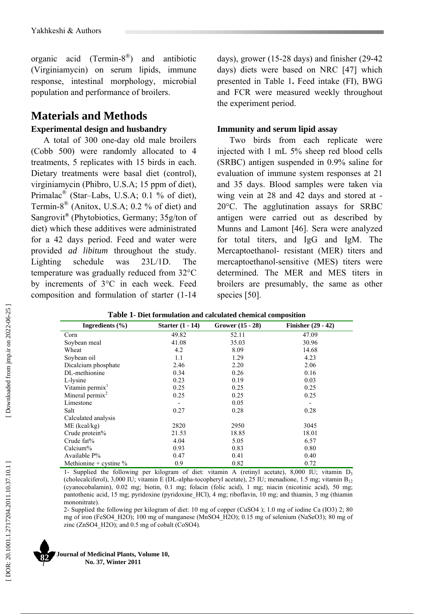organic acid (Termin-8 ®) and antibiotic (Virginiamycin) on serum lipids, immune response, intestinal morphology, microbial population and performance of broilers.

# **Materials and Methods Experimental design and husbandry**

A total of 300 one-day old male broilers (Cobb 500) were randomly allocated to 4 treatments, 5 replicates with 15 birds in each. Dietary treatments were basal diet (control), virginiamycin (Phibro, U.S.A; 15 ppm of diet), Primalac<sup>®</sup> (Star–Labs, U.S.A; 0.1 % of diet), Termin-8 ® (Anitox, U.S.A; 0.2 % of diet) and Sangrovit **®** (Phytobiotics, Germany; 35g/ton of diet) which these additives were administrated for a 42 days period. Feed and water were provided *ad libitum* throughout the study. Lighting schedule was 23L/1D. The temperature was gradually reduced from 32°C by increments of 3°C in each week. Feed composition and formulation of starter (1-14

days), grower (15-28 days) and finisher (29-42 days) diets were based on NRC [47] which presented in Table 1**.** Feed intake (FI), BWG and FCR were measured weekly throughout the experiment period.

### **Immunity and serum lipid assay**

Two birds from each replicate were injected with 1 mL 5% sheep red blood cells (SRBC) antigen suspended in 0.9% saline for evaluation of immune system responses at 21 and 35 days. Blood samples were taken via wing vein at 28 and 42 days and stored at - 20°C. The agglutination assays for SRBC antigen were carried out as described by Munns and Lamont [46]. Sera were analyzed for total titers, and IgG and IgM. The Mercaptoethanol- resistant (MER) titers and mercaptoethanol-sensitive (MES) titers were determined. The MER and MES titers in broilers are presumably, the same as other species [50].

| Table 1- Diet formulation and calculated chemical composition |                    |                    |                           |  |  |  |  |  |  |
|---------------------------------------------------------------|--------------------|--------------------|---------------------------|--|--|--|--|--|--|
| Ingredients $(\% )$                                           | Starter $(1 - 14)$ | Grower $(15 - 28)$ | <b>Finisher (29 - 42)</b> |  |  |  |  |  |  |
| Corn                                                          | 49.82              | 52.11              | 47.09                     |  |  |  |  |  |  |
| Soybean meal                                                  | 41.08              | 35.03              | 30.96                     |  |  |  |  |  |  |
| Wheat                                                         | 4.2                | 8.09               | 14.68                     |  |  |  |  |  |  |
| Soybean oil                                                   | 1.1                | 1.29               | 4.23                      |  |  |  |  |  |  |
| Dicalcium phosphate                                           | 2.46               | 2.20               | 2.06                      |  |  |  |  |  |  |
| DL-methionine                                                 | 0.34               | 0.26               | 0.16                      |  |  |  |  |  |  |
| L-lysine                                                      | 0.23               | 0.19               | 0.03                      |  |  |  |  |  |  |
| Vitamin permix <sup>1</sup>                                   | 0.25               | 0.25               | 0.25                      |  |  |  |  |  |  |
| Mineral permix $2$                                            | 0.25               | 0.25               | 0.25                      |  |  |  |  |  |  |
| Limestone                                                     |                    | 0.05               |                           |  |  |  |  |  |  |
| Salt                                                          | 0.27               | 0.28               | 0.28                      |  |  |  |  |  |  |
| Calculated analysis                                           |                    |                    |                           |  |  |  |  |  |  |
| $ME$ (kcal/kg)                                                | 2820               | 2950               | 3045                      |  |  |  |  |  |  |
| Crude protein%                                                | 21.53              | 18.85              | 18.01                     |  |  |  |  |  |  |
| Crude fat%                                                    | 4.04               | 5.05               | 6.57                      |  |  |  |  |  |  |
| Calcium%                                                      | 0.93               | 0.83               | 0.80                      |  |  |  |  |  |  |
| Available $P\%$                                               | 0.47               | 0.41               | 0.40                      |  |  |  |  |  |  |
| Methionine + cystine $%$                                      | 0.9                | 0.82               | 0.72                      |  |  |  |  |  |  |

|  | Table 1- Diet formulation and calculated chemical composition |  |  |
|--|---------------------------------------------------------------|--|--|
|  |                                                               |  |  |

1- Supplied the following per kilogram of diet: vitamin A (retinyl acetate), 8,000 IU; vitamin D 3 (cholecalciferol), 3,000 IU; vitamin E (DL-alpha-tocopheryl acetate), 25 IU; menadione, 1.5 mg; vitamin  $B_{12}$ (cyanocobalamin), 0.02 mg; biotin, 0.1 mg; folacin (folic acid), 1 mg; niacin (nicotinic acid), 50 mg; pantothenic acid, 15 mg; pyridoxine (pyridoxine\_HCl), 4 mg; riboflavin, 10 mg; and thiamin, 3 mg (thiamin mononitrate).

2- Supplied the following per kilogram of diet: 10 mg of copper (CuSO4 ); 1.0 mg of iodine Ca (IO3) 2; 80 mg of iron (FeSO4\_H2O); 100 mg of manganese (MnSO4\_H2O); 0.15 mg of selenium (NaSeO3); 80 mg of zinc  $(ZnSO4-H2O)$ ; and 0.5 mg of cobalt  $(CoSO4)$ .

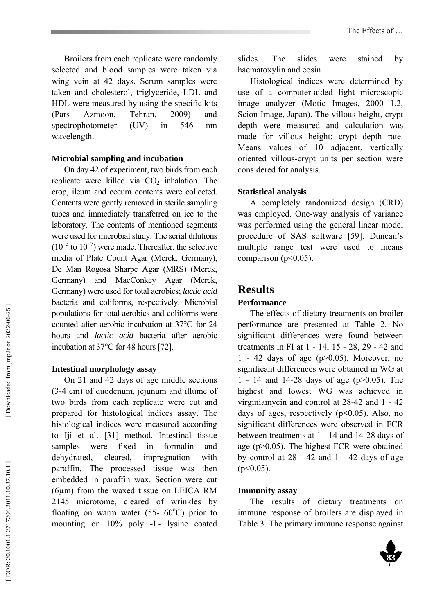Broilers from each replicate were randomly selected and blood samples were taken via wing vein at 42 days. Serum samples were taken and cholesterol, triglyceride, LDL and HDL were measured by using the specific kits (Pars Azmoon, Tehran, 2009) and spectrophotometer (UV) in 546 nm wavelength.

#### **Microbial sampling and incubation**

On day 42 of experiment, two birds from each replicate were killed via CO 2 inhalation. The crop, ileum and cecum contents were collected. Contents were gently removed in sterile sampling tubes and immediately transferred on ice to the laboratory. The contents of mentioned segments were used for microbial study. The serial dilutions  $(10^{-3}$  to  $10^{-7})$  were made. Thereafter, the selective media of Plate Count Agar (Merck, Germany), De Man Rogosa Sharpe Agar (MRS) (Merck, Germany) and MacConkey Agar (Merck, Germany) were used for total aerobics; *lactic acid* bacteria and coliforms, respectively. Microbial populations for total aerobics and coliforms were counted after aerobic incubation at 37°C for 24 hours and *lactic acid* bacteria after aerobic incubation at 37°C for 48 hours [72].

#### **Intestinal morphology assay**

On 21 and 42 days of age middle sections (3-4 cm) of duodenum, jejunum and illume of two birds from each replicate were cut and prepared for histological indices assay. The histological indices were measured according to Iji et al. [31] method. Intestinal tissue samples were fixed in formalin and dehydrated, cleared, impregnation with paraffin. The processed tissue was then embedded in paraffin wax. Section were cut (6µm) from the waxed tissue on LEICA RM 2145 microtome, cleared of wrinkles by floating on warm water  $(55 - 60^{\circ}C)$  prior to mounting on 10% poly -L- lysine coated

slides. The slides were stained by haematoxylin and eosin.

Histological indices were determined by use of a computer-aided light microscopic image analyzer (Motic Images, 2000 1.2, Scion Image, Japan). The villous height, crypt depth were measured and calculation was made for villous height: crypt depth rate. Means values of 10 adjacent, vertically oriented villous-crypt units per section were considered for analysis.

### **Statistical analysis**

A completely randomized design (CRD) was employed. One-way analysis of variance was performed using the general linear model procedure of SAS software [59]. Duncan's multiple range test were used to means comparison ( $p<0.05$ ).

# **Results**

### **Performance**

The effects of dietary treatments on broiler performance are presented at Table 2. No significant differences were found between treatments in FI at 1 - 14, 15 - 28, 29 - 42 and 1 - 42 days of age  $(p>0.05)$ . Moreover, no significant differences were obtained in WG at 1 - 14 and 14-28 days of age (p>0.05). The highest and lowest WG was achieved in virginiamycin and control at 28-42 and 1 - 42 days of ages, respectively  $(p<0.05)$ . Also, no significant differences were observed in FCR between treatments at 1 - 14 and 14-28 days of age (p>0.05). The highest FCR were obtained by control at  $28 - 42$  and  $1 - 42$  days of age  $(p<0.05)$ .

#### **Immunity assay**

The results of dietary treatments on immune response of broilers are displayed in Table 3. The primary immune response against

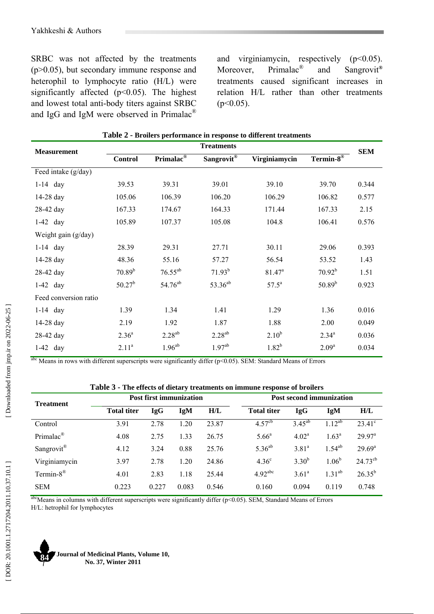SRBC was not affected by the treatments (p>0.05), but secondary immune response and heterophil to lymphocyte ratio (H/L) were significantly affected  $(p<0.05)$ . The highest and lowest total anti-body titers against SRBC and IgG and IgM were observed in Primalac $^{\circledR}$ 

and virginiamycin, respectively  $(p<0.05)$ . Moreover, Primalac<sup>®</sup> ® and Sangrovit **®** treatments caused significant increases in relation H/L rather than other treatments  $(p<0.05)$ .

| <b>Measurement</b>    |                   |                       | <b>Treatments</b>   |                    |                   | <b>SEM</b> |
|-----------------------|-------------------|-----------------------|---------------------|--------------------|-------------------|------------|
|                       | <b>Control</b>    | Primalac <sup>®</sup> | Sangrovit®          | Virginiamycin      | Termin- $8^\circ$ |            |
| Feed intake (g/day)   |                   |                       |                     |                    |                   |            |
| $1-14$ day            | 39.53             | 39.31                 | 39.01               | 39.10              | 39.70             | 0.344      |
| 14-28 day             | 105.06            | 106.39                | 106.20              | 106.29             | 106.82            | 0.577      |
| 28-42 day             | 167.33            | 174.67                | 164.33              | 171.44             | 167.33            | 2.15       |
| $1-42$ day            | 105.89            | 107.37                | 105.08              | 104.8              | 106.41            | 0.576      |
| Weight gain (g/day)   |                   |                       |                     |                    |                   |            |
| $1-14$ day            | 28.39             | 29.31                 | 27.71               | 30.11              | 29.06             | 0.393      |
| 14-28 day             | 48.36             | 55.16                 | 57.27               | 56.54              | 53.52             | 1.43       |
| 28-42 day             | $70.89^{b}$       | $76.55^{ab}$          | $71.93^{b}$         | 81.47 <sup>a</sup> | $70.92^{b}$       | 1.51       |
| $1-42$ day            | $50.27^{b}$       | 54.76 <sup>ab</sup>   | 53.36 <sup>ab</sup> | $57.5^{\rm a}$     | $50.89^{b}$       | 0.923      |
| Feed conversion ratio |                   |                       |                     |                    |                   |            |
| $1-14$ day            | 1.39              | 1.34                  | 1.41                | 1.29               | 1.36              | 0.016      |
| 14-28 day             | 2.19              | 1.92                  | 1.87                | 1.88               | 2.00              | 0.049      |
| 28-42 day             | $2.36^{a}$        | $2.28^{ab}$           | $2.28^{ab}$         | $2.10^{b}$         | $2.34^{a}$        | 0.036      |
| $1-42$ day            | 2.11 <sup>a</sup> | $1.96^{ab}$           | $1.97^{ab}$         | $1.82^{b}$         | 2.09 <sup>a</sup> | 0.034      |

|  |  |  | Table 2 - Broilers performance in response to different treatments |  |
|--|--|--|--------------------------------------------------------------------|--|
|--|--|--|--------------------------------------------------------------------|--|

abc Means in rows with different superscripts were significantly differ (p<0.05). SEM: Standard Means of Errors

| <b>Treatment</b>        | <b>Post first immunization</b> |       |            |       | <b>Post second immunization</b> |                   |                |                    |
|-------------------------|--------------------------------|-------|------------|-------|---------------------------------|-------------------|----------------|--------------------|
|                         | <b>Total titer</b>             | IgG   | <b>IgM</b> | H/L   | <b>Total titer</b>              | <b>IgG</b>        | IgM            | H/L                |
| Control                 | 3.91                           | 2.78  | 1.20       | 23.87 | $4.57^{\rm cb}$                 | $3.45^{ab}$       | $1.12^{ab}$    | $23.41^{\circ}$    |
| Primalac <sup>®</sup>   | 4.08                           | 2.75  | 1.33       | 26.75 | $5.66^{\circ}$                  | 4.02 <sup>a</sup> | $1.63^{\rm a}$ | $29.97^{\text{a}}$ |
| Sangrovit <sup>®</sup>  | 4.12                           | 3.24  | 0.88       | 25.76 | $5.36^{ab}$                     | 3.81 <sup>a</sup> | $1.54^{ab}$    | $29.69^{\rm a}$    |
| Virginiamycin           | 3.97                           | 2.78  | 1.20       | 24.86 | 4.36 <sup>c</sup>               | $3.30^{b}$        | $1.06^{\rm b}$ | $24.73^{cb}$       |
| Termin- $8^{\circledR}$ | 4.01                           | 2.83  | 1.18       | 25.44 | $4.92$ <sup>abc</sup>           | $3.61^{\circ}$    | $1.31^{ab}$    | $26.35^{b}$        |
| <b>SEM</b>              | 0.223                          | 0.227 | 0.083      | 0.546 | 0.160                           | 0.094             | 0.119          | 0.748              |

abcMeans in columns with different superscripts were significantly differ (p<0.05). SEM, Standard Means of Errors H/L: hetrophil for lymphocytes

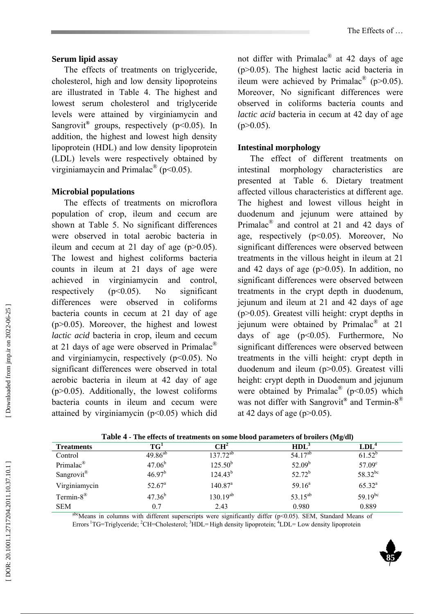#### **Serum lipid assay**

The effects of treatments on triglyceride, cholesterol, high and low density lipoproteins are illustrated in Table 4. The highest and lowest serum cholesterol and triglyceride levels were attained by virginiamycin and Sangrovit<sup>®</sup> groups, respectively (p<0.05). In addition, the highest and lowest high density lipoprotein (HDL) and low density lipoprotein (LDL) levels were respectively obtained by virginiamaycin and Primalac<sup>®</sup> (p<0.05).

#### **Microbial populations**

The effects of treatments on microflora population of crop, ileum and cecum are shown at Table 5. No significant differences were observed in total aerobic bacteria in ileum and cecum at 21 day of age  $(p>0.05)$ . The lowest and highest coliforms bacteria counts in ileum at 21 days of age were achieved in virginiamycin and control, respectively (p<0.05). No significant differences were observed in coliforms bacteria counts in cecum at 21 day of age (p>0.05). Moreover, the highest and lowest *lactic acid* bacteria in crop, ileum and cecum at 21 days of age were observed in Primalac $^{\circledR}$ and virginiamycin, respectively  $(p<0.05)$ . No significant differences were observed in total aerobic bacteria in ileum at 42 day of age (p>0.05). Additionally, the lowest coliforms bacteria counts in ileum and cecum were attained by virginiamycin (p<0.05) which did

not differ with Primalac $^{\circledR}$  at 42 days of age (p>0.05). The highest lactic acid bacteria in ileum were achieved by Primalac<sup>®</sup> (p>0.05). Moreover, No significant differences were observed in coliforms bacteria counts and *lactic acid* bacteria in cecum at 42 day of age  $(p>0.05)$ .

#### **Intestinal morphology**

The effect of different treatments on intestinal morphology characteristics are presented at Table 6. Dietary treatment affected villous characteristics at different age. The highest and lowest villous height in duodenum and jejunum were attained by Primalac<sup>®</sup> and control at 21 and 42 days of age, respectively  $(p<0.05)$ . Moreover, No significant differences were observed between treatments in the villous height in ileum at 21 and 42 days of age  $(p>0.05)$ . In addition, no significant differences were observed between treatments in the crypt depth in duodenum, jejunum and ileum at 21 and 42 days of age (p>0.05). Greatest villi height: crypt depths in jejunum were obtained by Primalac ® at 21 days of age  $(p<0.05)$ . Furthermore, No significant differences were observed between treatments in the villi height: crypt depth in duodenum and ileum (p>0.05). Greatest villi height: crypt depth in Duodenum and jejunum were obtained by Primalac<sup>®</sup> ( $p$ <0.05) which was not differ with Sangrovit<sup>®</sup> and Termin-8<sup>®</sup> at 42 days of age ( $p > 0.05$ ).

| <b>Treatments</b>           | $TG^1$             | $\mathbf{C}\mathbf{H}^2$ | HDL <sup>3</sup>    | LDL <sup>4</sup>   |
|-----------------------------|--------------------|--------------------------|---------------------|--------------------|
| Control                     | $49.86^{ab}$       | $137.72^{ab}$            | 54.17 <sup>ab</sup> | $61.52^{b}$        |
| Primalac <sup>®</sup>       | $47.06^{b}$        | $125.50^{b}$             | $52.09^b$           | 57.09 <sup>c</sup> |
| Sangrovit <sup>®</sup>      | 46.97 <sup>b</sup> | $124.43^{b}$             | $52.72^b$           | 58.32bc            |
| Virginiamycin               | $52.67^{\circ}$    | $140.87^a$               | $59.16^a$           | $65.32^{a}$        |
| Termin-8 <sup>®</sup>       | $47.36^{b}$        | $130.19^{ab}$            | $53.15^{ab}$        | $59.19^{bc}$       |
| <b>SEM</b><br>$\sim$ $\sim$ | 0.7                | 2.43                     | 0.980               | 0.889              |

**Table 4 - The effects of treatments on some blood parameters of broilers (Mg/dl)** 

 $a^{\text{bc}}$ Means in columns with different superscripts were significantly differ (p<0.05). SEM, Standard Means of Errors <sup>1</sup>TG=Triglyceride; <sup>2</sup>CH=Cholesterol; <sup>3</sup>HDL=High density lipoprotein; <sup>4</sup>LDL= Low density lipoprotein

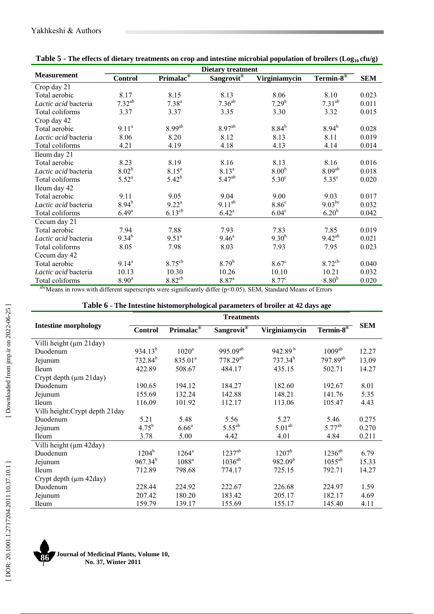| The effects of areas $j$ treatments on erop and intestine interosial population of stroners $(\log_{10} \epsilon \log_{20})$ | <b>Dietary treatment</b> |                       |                        |                      |                       |            |  |  |  |  |
|------------------------------------------------------------------------------------------------------------------------------|--------------------------|-----------------------|------------------------|----------------------|-----------------------|------------|--|--|--|--|
| <b>Measurement</b>                                                                                                           | <b>Control</b>           | Primalac <sup>®</sup> | Sangrovit <sup>®</sup> | <b>Virginiamycin</b> | Termin-8 <sup>®</sup> | <b>SEM</b> |  |  |  |  |
| Crop day 21                                                                                                                  |                          |                       |                        |                      |                       |            |  |  |  |  |
| Total aerobic                                                                                                                | 8.17                     | 8.15                  | 8.13                   | 8.06                 | 8.10                  | 0.023      |  |  |  |  |
| Lactic acid bacteria                                                                                                         | $7.32^{ab}$              | $7.38^{a}$            | $7.36^{ab}$            | $7.29^{b}$           | $7.31^{ab}$           | 0.011      |  |  |  |  |
| Total coliforms                                                                                                              | 3.37                     | 3.37                  | 3.35                   | 3.30                 | 3.32                  | 0.015      |  |  |  |  |
| Crop day 42                                                                                                                  |                          |                       |                        |                      |                       |            |  |  |  |  |
| Total aerobic                                                                                                                | 9.11 <sup>a</sup>        | 8.99 <sup>ab</sup>    | 8.97 <sup>ab</sup>     | $8.84^{b}$           | $8.94^{b}$            | 0.028      |  |  |  |  |
| Lactic acid bacteria                                                                                                         | 8.06                     | 8.20                  | 8.12                   | 8.13                 | 8.11                  | 0.019      |  |  |  |  |
| Total coliforms                                                                                                              | 4.21                     | 4.19                  | 4.18                   | 4.13                 | 4.14                  | 0.014      |  |  |  |  |
| Ileum day 21                                                                                                                 |                          |                       |                        |                      |                       |            |  |  |  |  |
| Total aerobic                                                                                                                | 8.23                     | 8.19                  | 8.16                   | 8.13                 | 8.16                  | 0.016      |  |  |  |  |
| Lactic acid bacteria                                                                                                         | $8.02^{b}$               | $8.15^{\circ}$        | $8.13^{a}$             | 8.00 <sup>b</sup>    | 8.09 <sup>ab</sup>    | 0.018      |  |  |  |  |
| Total coliforms                                                                                                              | $5.52^{a}$               | $5.42^{b}$            | $5.47^{ab}$            | 5.30 <sup>c</sup>    | $5.35^{\circ}$        | 0.020      |  |  |  |  |
| Ileum day 42                                                                                                                 |                          |                       |                        |                      |                       |            |  |  |  |  |
| Total aerobic                                                                                                                | 9.11                     | 9.05                  | 9.04                   | 9.00                 | 9.03                  | 0.017      |  |  |  |  |
| Lactic acid bacteria                                                                                                         | $8.94^{b}$               | $9.22^{\text{a}}$     | $9.11^{ab}$            | 8.86 <sup>c</sup>    | $9.03^{bc}$           | 0.032      |  |  |  |  |
| Total coliforms                                                                                                              | $6.49^{a}$               | $6.13^{\text{cb}}$    | $6.42^{\rm a}$         | 6.04 <sup>c</sup>    | 6.20 <sup>b</sup>     | 0.042      |  |  |  |  |
| Cecum day 21                                                                                                                 |                          |                       |                        |                      |                       |            |  |  |  |  |
| Total aerobic                                                                                                                | 7.94                     | 7.88                  | 7.93                   | 7.83                 | 7.85                  | 0.019      |  |  |  |  |
| Lactic acid bacteria                                                                                                         | $9.34^{b}$               | $9.51^a$              | $9.46^{\circ}$         | $9.30^{b}$           | $9.42^{ab}$           | 0.021      |  |  |  |  |
| Total coliforms                                                                                                              | 8.05                     | 7.98                  | 8.03                   | 7.93                 | 7.95                  | 0.023      |  |  |  |  |
| Cecum day 42                                                                                                                 |                          |                       |                        |                      |                       |            |  |  |  |  |
| Total aerobic                                                                                                                | $9.14^{a}$               | $8.75^{\text{cb}}$    | $8.79^{b}$             | 8.67 <sup>c</sup>    | $8.72^{cb}$           | 0.040      |  |  |  |  |
| Lactic acid bacteria                                                                                                         | 10.13                    | 10.30                 | 10.26                  | 10.10                | 10.21                 | 0.032      |  |  |  |  |
| Total coliforms                                                                                                              | 8.90 <sup>a</sup>        | $8.82$ <sup>cb</sup>  | 8.87 <sup>a</sup>      | 8.77 <sup>c</sup>    | 8.80 <sup>b</sup>     | 0.020      |  |  |  |  |

| Table 5 - The effects of dietary treatments on crop and intestine microbial population of broilers ( $Log_{10}$ cfu/g) |  |  |
|------------------------------------------------------------------------------------------------------------------------|--|--|
|------------------------------------------------------------------------------------------------------------------------|--|--|

 $a$ bcMeans in rows with different superscripts were significantly differ (p<0.05). SEM, Standard Means of Errors

|                                     | <b>Treatments</b> |                       |                    |                     |                      |            |
|-------------------------------------|-------------------|-----------------------|--------------------|---------------------|----------------------|------------|
| <b>Intestine morphology</b>         | <b>Control</b>    | Primalac <sup>®</sup> | Sangrovit®         | Virginiamycin       | Termin- $8^\circ$    | <b>SEM</b> |
| Villi height (µm 21day)             |                   |                       |                    |                     |                      |            |
| Duodenum                            | $934.13^{b}$      | $1020^a$              | $995.09^{ab}$      | 942.89 $^{\rm b}$   | 1009 <sup>ab</sup>   | 12.27      |
| Jejunum                             | $732.84^{b}$      | 835.01 <sup>a</sup>   | $778.29^{ab}$      | $737.34^{b}$        | 797.89 <sup>ab</sup> | 13.09      |
| Ileum                               | 422.89            | 508.67                | 484.17             | 435.15              | 502.71               | 14.27      |
| Crypt depth $(\mu m 21 \text{day})$ |                   |                       |                    |                     |                      |            |
| Duodenum                            | 190.65            | 194.12                | 184.27             | 182.60              | 192.67               | 8.01       |
| Jejunum                             | 155.69            | 132.24                | 142.88             | 148.21              | 141.76               | 5.35       |
| <b>Ileum</b>                        | 116.09            | 101.92                | 112.17             | 113.06              | 105.47               | 4.43       |
| Villi height: Crypt depth 21day     |                   |                       |                    |                     |                      |            |
| Duodenum                            | 5.21              | 5.48                  | 5.56               | 5.27                | 5.46                 | 0.275      |
| Jejunum                             | $4.75^{b}$        | 6.66 <sup>a</sup>     | $5.55^{ab}$        | 5.01 <sup>ab</sup>  | $5.77^{ab}$          | 0.270      |
| <b>Ileum</b>                        | 3.78              | 5.00                  | 4.42               | 4.01                | 4.84                 | 0.211      |
| Villi height (µm 42day)             |                   |                       |                    |                     |                      |            |
| Duodenum                            | $1204^{\rm b}$    | $1264^{\rm a}$        | 1237 <sup>ab</sup> | $1207^{\rm b}$      | $1236^{ab}$          | 6.79       |
| Jejunum                             | $967.34^{b}$      | 1088 <sup>a</sup>     | $1036^{ab}$        | 982.09 <sup>b</sup> | $1055^{ab}$          | 15.33      |
| <b>Ileum</b>                        | 712.89            | 798.68                | 774.17             | 725.15              | 792.71               | 14.27      |
| Crypt depth $(\mu m 42 \text{day})$ |                   |                       |                    |                     |                      |            |
| Duodenum                            | 228.44            | 224.92                | 222.67             | 226.68              | 224.97               | 1.59       |
| Jejunum                             | 207.42            | 180.20                | 183.42             | 205.17              | 182.17               | 4.69       |
| Ileum                               | 159.79            | 139.17                | 155.69             | 155.17              | 145.40               | 4.11       |



**Journal of Medicinal Plants, Volume 10, 86** Journal of Medicinal Plants, **No. 37**, Winter 2011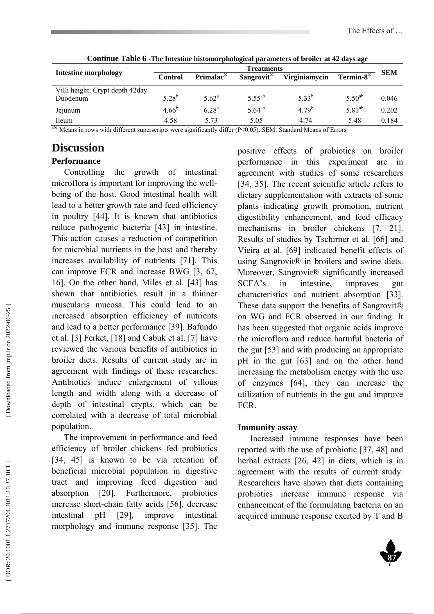| <u>o original a more o vers riferante indecine harded a harded and more of order at the angle and</u> | <b>Treatments</b> |                       |                        |               |                   |            |
|-------------------------------------------------------------------------------------------------------|-------------------|-----------------------|------------------------|---------------|-------------------|------------|
| <b>Intestine morphology</b>                                                                           | <b>Control</b>    | Primalac <sup>®</sup> | Sangrovit <sup>®</sup> | Virginiamycin | Termin- $8^\circ$ | <b>SEM</b> |
| Villi height: Crypt depth 42day                                                                       |                   |                       |                        |               |                   |            |
| Duodenum                                                                                              | $5.28^{b}$        | $5.62^{\rm a}$        | $5.55^{ab}$            | $5.33^{b}$    | $5.50^{ab}$       | 0.046      |
| Jejunum                                                                                               | $4.66^{b}$        | $6.28^{a}$            | $5.64^{ab}$            | $4.79^{b}$    | $5.81^{ab}$       | 0.202      |
| <b>Ileum</b><br>$0h - 1$                                                                              | 4.58              | 5.73                  | 5.05                   | 4.74          | 5.48              | 0.184      |

**Continue Table 6 -The Intestine histomorphological parameters of broiler at 42 days age**

abc Means in rows with different superscripts were significantly differ (P<0.05). SEM: Standard Means of Errors

# **Discussion**

## **Performance**

Controlling the growth of intestinal microflora is important for improving the wellbeing of the host. Good intestinal health will lead to a better growth rate and feed efficiency in poultry [44]. It is known that antibiotics reduce pathogenic bacteria [43] in intestine. This action causes a reduction of competition for microbial nutrients in the host and thereby increases availability of nutrients [71]. This can improve FCR and increase BWG [3, 67, 16]. On the other hand, Miles et al. [43] has shown that antibiotics result in a thinner muscularis mucosa. This could lead to an increased absorption efficiency of nutrients and lead to a better performance [39]. Bafundo et al. [3] Ferket, [18] and Cabuk et al. [7] have reviewed the various benefits of antibiotics in broiler diets. Results of current study are in agreement with findings of these researches. Antibiotics induce enlargement of villous length and width along with a decrease of depth of intestinal crypts, which can be correlated with a decrease of total microbial population.

The improvement in performance and feed efficiency of broiler chickens fed probiotics [34, 45] is known to be via retention of beneficial microbial population in digestive tract and improving feed digestion and absorption [20]. Furthermore, probiotics increase short-chain fatty acids [56], decrease intestinal pH [29], improve intestinal morphology and immune response [35]. The positive effects of probiotics on broiler performance in this experiment are in agreement with studies of some researchers [34, 35]. The recent scientific article refers to dietary supplementation with extracts of some plants indicating growth promotion, nutrient digestibility enhancement, and feed efficacy mechanisms in broiler chickens [7, 21]. Results of studies by Tschirner et al. [66] and Vieira et al. [69] indicated benefit effects of using Sangrovit® in broilers and swine diets. Moreover, Sangrovit® significantly increased SCFA's in intestine, improves gut characteristics and nutrient absorption [33]. These data support the benefits of Sangrovit<sup>®</sup> on WG and FCR observed in our finding. It has been suggested that organic acids improve the microflora and reduce harmful bacteria of the gut [53] and with producing an appropriate pH in the gut [63] and on the other hand increasing the metabolism energy with the use of enzymes [64], they can increase the utilization of nutrients in the gut and improve FCR.

## **Immunity assay**

Increased immune responses have been reported with the use of probiotic [37, 48] and herbal extracts [26, 42] in diets, which is in agreement with the results of current study. Researchers have shown that diets containing probiotics increase immune response via enhancement of the formulating bacteria on an acquired immune response exerted by T and B

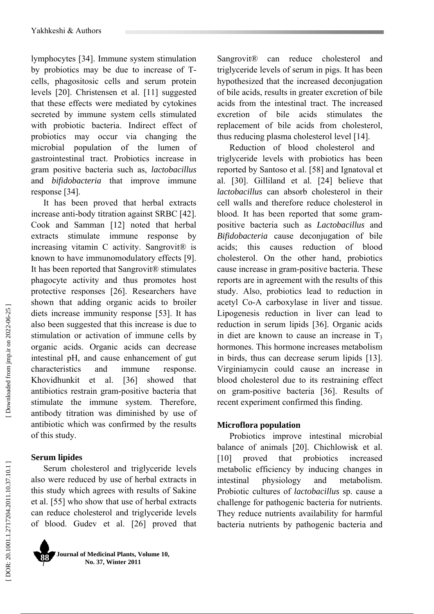lymphocytes [34]. Immune system stimulation by probiotics may be due to increase of Tcells, phagositosic cells and serum protein levels [20]. Christensen et al. [11] suggested that these effects were mediated by cytokines secreted by immune system cells stimulated with probiotic bacteria. Indirect effect of probiotics may occur via changing the microbial population of the lumen of gastrointestinal tract. Probiotics increase in gram positive bacteria such as, *lactobacillus* and *bifidobacteria* that improve immune response [34].

It has been proved that herbal extracts increase anti-body titration against SRBC [42]. Cook and Samman [12] noted that herbal extracts stimulate immune response by increasing vitamin C activity. Sangrovit® is known to have immunomodulatory effects [9]. It has been reported that Sangrovit® stimulates phagocyte activity and thus promotes host protective responses [26]. Researchers have shown that adding organic acids to broiler diets increase immunity response [53]. It has also been suggested that this increase is due to stimulation or activation of immune cells by organic acids. Organic acids can decrease intestinal pH, and cause enhancement of gut characteristics and immune response. Khovidhunkit et al. [36] showed that antibiotics restrain gram-positive bacteria that stimulate the immune system. Therefore, antibody titration was diminished by use of antibiotic which was confirmed by the results of this study.

### **Serum lipides**

Serum cholesterol and triglyceride levels also were reduced by use of herbal extracts in this study which agrees with results of Sakine et al. [55] who show that use of herbal extracts can reduce cholesterol and triglyceride levels of blood. Gudev et al. [26] proved that



Sangrovit<sup>®</sup> can reduce cholesterol and triglyceride levels of serum in pigs. It has been hypothesized that the increased deconjugation of bile acids, results in greater excretion of bile acids from the intestinal tract. The increased excretion of bile acids stimulates the replacement of bile acids from cholesterol, thus reducing plasma cholesterol level [14].

Reduction of blood cholesterol and triglyceride levels with probiotics has been reported by Santoso et al. [58] and Ignatoval et al. [30]. Gilliland et al. [24] believe that *lactobacillus* can absorb cholesterol in their cell walls and therefore reduce cholesterol in blood. It has been reported that some grampositive bacteria such as *Lactobacillus* and *Bifidobacteria* cause deconjugation of bile acids; this causes reduction of blood cholesterol. On the other hand, probiotics cause increase in gram-positive bacteria. These reports are in agreement with the results of this study. Also, probiotics lead to reduction in acetyl Co-A carboxylase in liver and tissue. Lipogenesis reduction in liver can lead to reduction in serum lipids [36]. Organic acids in diet are known to cause an increase in T 3 hormones. This hormone increases metabolism in birds, thus can decrease serum lipids [13]. Virginiamycin could cause an increase in blood cholesterol due to its restraining effect on gram-positive bacteria [36]. Results of recent experiment confirmed this finding.

### **Microflora population**

Probiotics improve intestinal microbial balance of animals [20]. Chichlowisk et al. [10] proved that probiotics increased metabolic efficiency by inducing changes in intestinal physiology and metabolism. Probiotic cultures of *lactobacillus* sp. cause a challenge for pathogenic bacteria for nutrients. They reduce nutrients availability for harmful bacteria nutrients by pathogenic bacteria and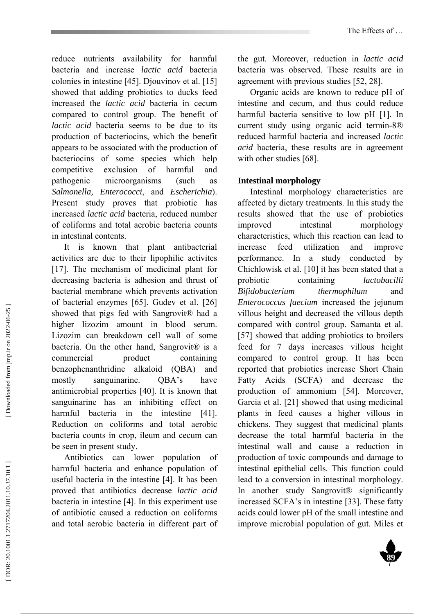reduce nutrients availability for harmful bacteria and increase *lactic acid* bacteria colonies in intestine [45]. Djouvinov et al. [15] showed that adding probiotics to ducks feed increased the *lactic acid* bacteria in cecum compared to control group. The benefit of *lactic acid* bacteria seems to be due to its production of bacteriocins, which the benefit appears to be associated with the production of bacteriocins of some species which help competitive exclusion of harmful and pathogenic microorganisms (such as *Salmonella, Enterococci*, and *Escherichia*). Present study proves that probiotic has increased *lactic acid* bacteria, reduced number of coliforms and total aerobic bacteria counts in intestinal contents.

It is known that plant antibacterial activities are due to their lipophilic activites [17]. The mechanism of medicinal plant for decreasing bacteria is adhesion and thrust of bacterial membrane which prevents activation of bacterial enzymes [65]. Gudev et al. [26] showed that pigs fed with Sangrovit® had a higher lizozim amount in blood serum. Lizozim can breakdown cell wall of some bacteria. On the other hand, Sangrovit<sup>®</sup> is a commercial product containing benzophenanthridine alkaloid (QBA) and mostly sanguinarine. QBA's have antimicrobial properties [40]. It is known that sanguinarine has an inhibiting effect on harmful bacteria in the intestine [41]. Reduction on coliforms and total aerobic bacteria counts in crop, ileum and cecum can be seen in present study.

Antibiotics can lower population of harmful bacteria and enhance population of useful bacteria in the intestine [4]. It has been proved that antibiotics decrease *lactic acid* bacteria in intestine [4]. In this experiment use of antibiotic caused a reduction on coliforms and total aerobic bacteria in different part of

the gut. Moreover, reduction in *lactic acid* bacteria was observed. These results are in agreement with previous studies [52, 28].

Organic acids are known to reduce pH of intestine and cecum, and thus could reduce harmful bacteria sensitive to low pH [1]. In current study using organic acid termin-8® reduced harmful bacteria and increased *lactic acid* bacteria, these results are in agreement with other studies [68].

### **Intestinal morphology**

Intestinal morphology characteristics are affected by dietary treatments. In this study the results showed that the use of probiotics improved intestinal morphology characteristics, which this reaction can lead to increase feed utilization and improve performance. In a study conducted by Chichlowisk et al. [10] it has been stated that a probiotic containing *lactobacilli Bifidobacterium thermophilum* and *Enterococcus faecium* increased the jejunum villous height and decreased the villous depth compared with control group. Samanta et al. [57] showed that adding probiotics to broilers feed for 7 days increases villous height compared to control group. It has been reported that probiotics increase Short Chain Fatty Acids (SCFA) and decrease the production of ammonium [54]. Moreover, Garcia et al. [21] showed that using medicinal plants in feed causes a higher villous in chickens. They suggest that medicinal plants decrease the total harmful bacteria in the intestinal wall and cause a reduction in production of toxic compounds and damage to intestinal epithelial cells. This function could lead to a conversion in intestinal morphology. In another study Sangrovit® significantly increased SCFA's in intestine [33]. These fatty acids could lower pH of the small intestine and improve microbial population of gut. Miles et

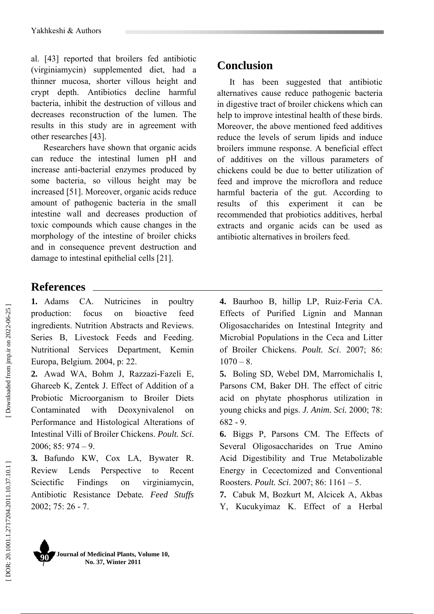al. [43] reported that broilers fed antibiotic (virginiamycin) supplemented diet, had a thinner mucosa, shorter villous height and crypt depth. Antibiotics decline harmful bacteria, inhibit the destruction of villous and decreases reconstruction of the lumen. The results in this study are in agreement with other researches [43].

Researchers have shown that organic acids can reduce the intestinal lumen pH and increase anti-bacterial enzymes produced by some bacteria, so villous height may be increased [51]. Moreover, organic acids reduce amount of pathogenic bacteria in the small intestine wall and decreases production of toxic compounds which cause changes in the morphology of the intestine of broiler chicks and in consequence prevent destruction and damage to intestinal epithelial cells [21].

# **References**

**1.** Adams CA. Nutricines in poultry production: focus on bioactive feed ingredients. Nutrition Abstracts and Reviews. Series B, Livestock Feeds and Feeding. Nutritional Services Department, Kemin Europa, Belgium. 2004, p: 22.

**2.** Awad WA, Bohm J, Razzazi-Fazeli E, Ghareeb K, Zentek J. Effect of Addition of a Probiotic Microorganism to Broiler Diets Contaminated with Deoxynivalenol on Performance and Histological Alterations of Intestinal Villi of Broiler Chickens. *Poult. Sci*. 2006;  $85:974 - 9$ .

**3.** Bafundo KW, Cox LA, Bywater R. Review Lends Perspective to Recent Sciectific Findings on virginiamycin, Antibiotic Resistance Debate*. Feed Stuffs* 2002; 75: 26 - 7.

# **Conclusion**

It has been suggested that antibiotic alternatives cause reduce pathogenic bacteria in digestive tract of broiler chickens which can help to improve intestinal health of these birds. Moreover, the above mentioned feed additives reduce the levels of serum lipids and induce broilers immune response. A beneficial effect of additives on the villous parameters of chickens could be due to better utilization of feed and improve the microflora and reduce harmful bacteria of the gut. According to results of this experiment it can be recommended that probiotics additives, herbal extracts and organic acids can be used as antibiotic alternatives in broilers feed.

**4.** Baurhoo B, hillip LP, Ruiz-Feria CA. Effects of Purified Lignin and Mannan Oligosaccharides on Intestinal Integrity and Microbial Populations in the Ceca and Litter of Broiler Chickens. *Poult. Sci*. 2007; 86:  $1070 - 8$ .

**5.** Boling SD, Webel DM, Marromichalis I, Parsons CM, Baker DH. The effect of citric acid on phytate phosphorus utilization in young chicks and pigs. *J. Anim. Sci.* 2000; 78: 682 - 9.

**6.** Biggs P, Parsons CM. The Effects of Several Oligosaccharides on True Amino Acid Digestibility and True Metabolizable Energy in Cecectomized and Conventional Roosters. *Poult. Sci*. 2007; 86: 1161 – 5.

**7.** Cabuk M, Bozkurt M, Alcicek A, Akbas Y, Kucukyimaz K. Effect of a Herbal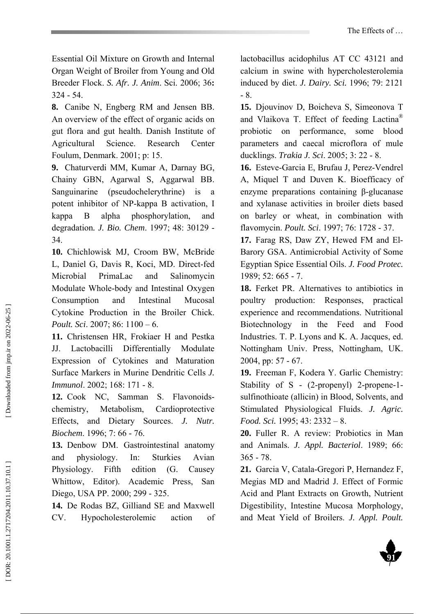Essential Oil Mixture on Growth and Internal Organ Weight of Broiler from Young and Old Breeder Flock. *S. Afr. J. Anim*. Sci. 2006; 36 **:** 324 - 54.

**8.** Canibe N, Engberg RM and Jensen BB. An overview of the effect of organic acids on gut flora and gut health. Danish Institute of Agricultural Science. Research Center Foulum, Denmark. 2001; p: 15.

**9.** Chaturverdi MM, Kumar A, Darnay BG, Chainy GBN, Agarwal S, Aggarwal BB. Sanguinarine (pseudochelerythrine) is a potent inhibitor of NP-kappa B activation, I kappa B alpha phosphorylation, and degradation*. J. Bio. Chem*. 1997; 48: 30129 - 34.

**10.** Chichlowisk MJ, Croom BW, McBride L, Daniel G, Davis R, Koci, MD. Direct-fed Microbial PrimaLac and Salinomycin Modulate Whole-body and Intestinal Oxygen Consumption and Intestinal Mucosal Cytokine Production in the Broiler Chick. *Poult. Sci*. 2007; 86: 1100 – 6.

**11.** Christensen HR, Frokiaer H and Pestka JJ. Lactobacilli Differentially Modulate Expression of Cytokines and Maturation Surface Markers in Murine Dendritic Cells *J. Immunol*. 2002; 168: 171 - 8.

**12.** Cook NC, Samman S. Flavonoidschemistry, Metabolism, Cardioprotective Effects, and Dietary Sources. *J. Nutr. Biochem*. 1996; 7: 66 - 76.

**13.** Denbow DM. Gastrointestinal anatomy and physiology. In: Sturkies Avian Physiology. Fifth edition (G. Causey Whittow, Editor). Academic Press, San Diego, USA PP. 2000; 299 - 325.

**14.** De Rodas BZ, Gilliand SE and Maxwell CV. Hypocholesterolemic action of lactobacillus acidophilus AT CC 43121 and calcium in swine with hypercholesterolemia induced by diet. *J. Dairy. Sci.* 1996; 79: 2121 - 8.

**15.** Djouvinov D, Boicheva S, Simeonova T and Vlaikova T. Effect of feeding Lactina® probiotic on performance, some blood parameters and caecal microflora of mule ducklings. *Trakia J. Sci*. 2005; 3: 22 - 8.

**16.** Esteve-Garcia E, Brufau J, Perez-Vendrel A, Miquel T and Duven K. Bioefficacy of enzyme preparations containing β-glucanase and xylanase activities in broiler diets based on barley or wheat, in combination with flavomycin. *Poult. Sci*. 1997; 76: 1728 - 37.

**17.** Farag RS, Daw ZY, Hewed FM and El-Barory GSA. Antimicrobial Activity of Some Egyptian Spice Essential Oils. *J. Food Protec.* 1989; 52: 665 - 7.

**18.** Ferket PR. Alternatives to antibiotics in poultry production: Responses, practical experience and recommendations. Nutritional Biotechnology in the Feed and Food Industries. T. P. Lyons and K. A. Jacques, ed. Nottingham Univ. Press, Nottingham, UK. 2004, pp: 57 - 67.

**19.** Freeman F, Kodera Y. Garlic Chemistry: Stability of S - (2-propenyl) 2-propene-1 sulfinothioate (allicin) in Blood, Solvents, and Stimulated Physiological Fluids. *J. Agric. Food. Sci.* 1995; 43: 2332 – 8.

**20.** Fuller R. A review: Probiotics in Man and Animals. *J. Appl. Bacteriol*. 1989; 66: 365 - 78.

**21.** Garcia V, Catala-Gregori P, Hernandez F, Megias MD and Madrid J. Effect of Formic Acid and Plant Extracts on Growth, Nutrient Digestibility, Intestine Mucosa Morphology, and Meat Yield of Broilers. *J. Appl. Poult.* 

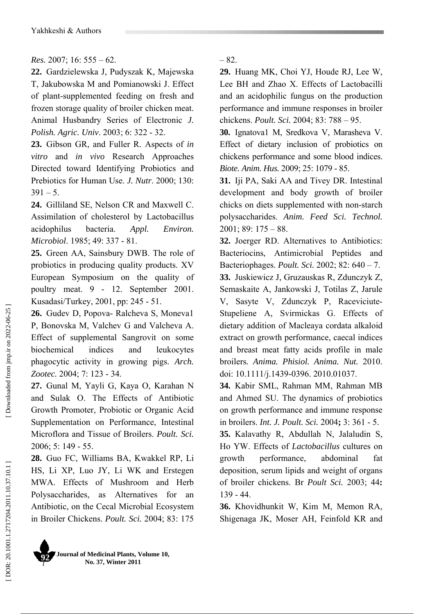### *Res.* 2007; 16: 555 – 62.

**22.** Gardzielewska J, Pudyszak K, Majewska T, Jakubowska M and Pomianowski J. Effect of plant-supplemented feeding on fresh and frozen storage quality of broiler chicken meat. Animal Husbandry Series of Electronic *J. Polish. Agric. Univ*. 2003; 6: 322 - 32.

**23.** Gibson GR, and Fuller R. Aspects of *in vitro* and *in vivo* Research Approaches Directed toward Identifying Probiotics and Prebiotics for Human Use. *J. Nutr*. 2000; 130:  $391 - 5$ .

**24.** Gilliland SE, Nelson CR and Maxwell C. Assimilation of cholesterol by Lactobacillus acidophilus bacteria. *Appl. Environ. Microbiol*. 1985; 49: 337 - 81.

**25.** Green AA, Sainsbury DWB. The role of probiotics in producing quality products. XV European Symposium on the quality of poultry meat. 9 - 12. September 2001. Kusadasi/Turkey, 2001, pp: 245 - 51.

**26.** Gudev D, Popova- Ralcheva S, Moneva1 P, Bonovska M, Valchev G and Valcheva A. Effect of supplemental Sangrovit on some biochemical indices and leukocytes phagocytic activity in growing pigs. *Arch. Zootec.* 2004; 7: 123 - 34.

**27.** Gunal M, Yayli G, Kaya O, Karahan N and Sulak O. The Effects of Antibiotic Growth Promoter, Probiotic or Organic Acid Supplementation on Performance, Intestinal Microflora and Tissue of Broilers. *Poult. Sci.* 2006; 5: 149 - 55.

**28.** Guo FC, Williams BA, Kwakkel RP, Li HS, Li XP, Luo JY, Li WK and Erstegen MWA. Effects of Mushroom and Herb Polysaccharides, as Alternatives for an Antibiotic, on the Cecal Microbial Ecosystem in Broiler Chickens. *Poult. Sci.* 2004; 83: 175

– 82.

**29.** Huang MK, Choi YJ, Houde RJ, Lee W, Lee BH and Zhao X. Effects of Lactobacilli and an acidophilic fungus on the production performance and immune responses in broiler chickens. *Poult. Sci.* 2004; 83: 788 – 95.

**30.** Ignatova1 M, Sredkova V, Marasheva V. Effect of dietary inclusion of probiotics on chickens performance and some blood indices. *Biote. Anim. Hus.* 2009; 25: 1079 - 85.

**31.** Iji PA, Saki AA and Tivey DR. Intestinal development and body growth of broiler chicks on diets supplemented with non-starch polysaccharides. *Anim. Feed Sci. Technol.* 2001; 89: 175 – 88.

**32.** Joerger RD. Alternatives to Antibiotics: Bacteriocins, Antimicrobial Peptides and Bacteriophages. *Poult. Sci.* 2002; 82: 640 – 7. **33.** Juskiewicz J, Gruzauskas R, Zdunczyk Z, Semaskaite A, Jankowski J, Totilas Z, Jarule V, Sasyte V, Zdunczyk P, Raceviciute-Stupeliene A, Svirmickas G. Effects of dietary addition of Macleaya cordata alkaloid extract on growth performance, caecal indices and breast meat fatty acids profile in male

broilers*. Anima. Phisiol. Anima. Nut.* 2010. doi: 10.1111/j.1439-0396. 2010.01037.

**34.** Kabir SML, Rahman MM, Rahman MB and Ahmed SU. The dynamics of probiotics on growth performance and immune response in broilers. *Int. J. Poult. Sci.* 2004**;** 3: 361 - 5.

**35.** Kalavathy R, Abdullah N, Jalaludin S, Ho YW. Effects of *Lactobacillus* cultures on growth performance, abdominal fat deposition, serum lipids and weight of organs of broiler chickens. Br *Poult Sci.* 2003; 44 **:** 139 - 44.

**36.** Khovidhunkit W, Kim M, Memon RA, Shigenaga JK, Moser AH, Feinfold KR and

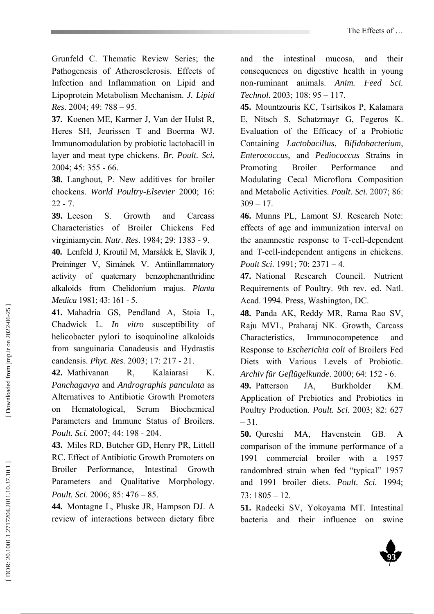Grunfeld C. Thematic Review Series; the Pathogenesis of Atherosclerosis. Effects of Infection and Inflammation on Lipid and Lipoprotein Metabolism Mechanism. *J. Lipid Res*. 2004; 49: 788 – 95.

**37.** Koenen ME, Karmer J, Van der Hulst R, Heres SH, Jeurissen T and Boerma WJ. Immunomodulation by probiotic lactobacill in layer and meat type chickens. *Br. Poult. Sci***.**  2004; 45: 355 - 66.

**38.** Langhout, P. New additives for broiler chockens. *World Poultry-Elsevier* 2000; 16:  $22 - 7$ .

**39.** Leeson S. Growth and Carcass Characteristics of Broiler Chickens Fed virginiamycin. *Nutr. Res*. 1984; 29: 1383 - 9.

**40.** Lenfeld J, Kroutil M, Marsálek E, Slavík J, Preininger V, Simánek V. Antiinflammatory activity of quaternary benzophenanthridine alkaloids from Chelidonium majus. *Planta Medica* 1981; 43: 161 - 5.

**41.** Mahadria GS, Pendland A, Stoia L, Chadwick L. *In vitro* susceptibility of helicobacter pylori to isoquinoline alkaloids from sanguinaria Canadeusis and Hydrastis candensis. *Phyt. Res*. 2003; 17: 217 - 21.

**42.** Mathivanan R, Kalaiarasi K. *Panchagavya* and *Andrographis panculata* as Alternatives to Antibiotic Growth Promoters on Hematological, Serum Biochemical Parameters and Immune Status of Broilers. *Poult. Sci.* 2007; 44: 198 - 204.

**43.** Miles RD, Butcher GD, Henry PR, Littell RC. Effect of Antibiotic Growth Promoters on Broiler Performance, Intestinal Growth Parameters and Qualitative Morphology. *Poult. Sci*. 2006; 85: 476 – 85.

**44.** Montagne L, Pluske JR, Hampson DJ. A review of interactions between dietary fibre and the intestinal mucosa, and their consequences on digestive health in young non-ruminant animals. *Anim. Feed Sci. Technol.* 2003; 108: 95 – 117.

**45.** Mountzouris KC, Tsirtsikos P, Kalamara E, Nitsch S, Schatzmayr G, Fegeros K. Evaluation of the Efficacy of a Probiotic Containing *Lactobacillus*, *Bifidobacterium*, *Enterococcus*, and *Pediococcus* Strains in Promoting Broiler Performance and Modulating Cecal Microflora Composition and Metabolic Activities. *Poult. Sci.* 2007; 86:  $309 - 17$ .

**46.** Munns PL, Lamont SJ. Research Note: effects of age and immunization interval on the anamnestic response to T-cell-dependent and T-cell-independent antigens in chickens. *Poult Sci.* 1991; 70: 2371 – 4.

**47.** National Research Council. Nutrient Requirements of Poultry. 9th rev. ed. Natl. Acad. 1994. Press, Washington, DC.

**48.** Panda AK, Reddy MR, Rama Rao SV, Raju MVL, Praharaj NK. Growth, Carcass Characteristics, Immunocompetence and Response to *Escherichia coli* of Broilers Fed Diets with Various Levels of Probiotic. *Archiv für Geflügelkunde*. 2000; 64: 152 - 6.

**49.** Patterson JA, Burkholder KM. Application of Prebiotics and Probiotics in Poultry Production. *Poult. Sci.* 2003; 82: 627 – 31.

**50.** Qureshi MA, Havenstein GB. A comparison of the immune performance of a 1991 commercial broiler with a 1957 randombred strain when fed "typical" 1957 and 1991 broiler diets. *Poult. Sci.* 1994; 73: 1805 – 12.

**51.** Radecki SV, Yokoyama MT. Intestinal bacteria and their influence on swine

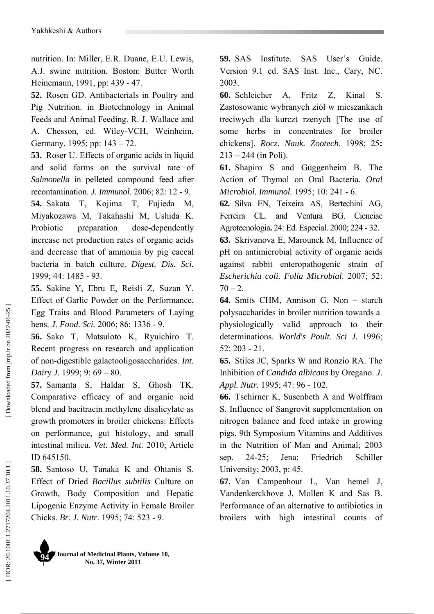nutrition. In: Miller, E.R. Duane, E.U. Lewis, A.J. swine nutrition. Boston: Butter Worth Heinemann, 1991, pp: 439 - 47.

**52.** Rosen GD. Antibacterials in Poultry and Pig Nutrition. in Biotechnology in Animal Feeds and Animal Feeding. R. J. Wallace and A. Chesson, ed. Wiley-VCH, Weinheim, Germany. 1995; pp: 143 – 72.

**53.** Roser U. Effects of organic acids in liquid and solid forms on the survival rate of *Salmonella* in pelleted compound feed after recontamination. *J. Immunol*. 2006; 82: 12 - 9. **54.** Sakata T, Kojima T, Fujieda M,

Miyakozawa M, Takahashi M, Ushida K. Probiotic preparation dose-dependently increase net production rates of organic acids and decrease that of ammonia by pig caecal bacteria in batch culture. *Digest. Dis. Sci.* 1999; 44: 1485 - 93.

**55.** Sakine Y, Ebru E, Reisli Z, Suzan Y. Effect of Garlic Powder on the Performance, Egg Traits and Blood Parameters of Laying hens. *J. Food. Sci.* 2006; 86: 1336 - 9.

**56.** Sako T, Matsuloto K, Ryuichiro T. Recent progress on research and application of non-digestible galactooligosaccharides. *Int. Dairy J*. 1999; 9: 69 – 80.

**57.** Samanta S, Haldar S, Ghosh TK. Comparative efficacy of and organic acid blend and bacitracin methylene disalicylate as growth promoters in broiler chickens: Effects on performance, gut histology, and small intestinal milieu. *Vet. Med. Int.* 2010; Article ID 645150.

**58.** Santoso U, Tanaka K and Ohtanis S. Effect of Dried *Bacillus subtilis* Culture on Growth, Body Composition and Hepatic Lipogenic Enzyme Activity in Female Broiler Chicks. *Br. J. Nutr*. 1995; 74: 523 - 9.

**59.** SAS Institute. SAS User's Guide. Version 9.1 ed. SAS Inst. Inc., Cary, NC. 2003.

**60.** Schleicher A, Fritz Z, Kinal S. Zastosowanie wybranych zió ł w mieszankach treciwych dla kurczt rzenych [The use of some herbs in concentrates for broiler chickens]. *Rocz. Nauk. Zootech*. 1998; 25 **:**  $213 - 244$  (in Poli).

**61.** Shapiro S and Guggenheim B. The Action of Thymol on Oral Bacteria. *Oral Microbiol. Immunol.* 1995; 10: 241 - 6.

**62.** Silva EN, Teixeira AS, Bertechini AG, Ferreira CL. and Ventura BG. Cienciae Agrotecnologia**.** 24: Ed. Especial. 2000; 224 - 32.

**63.** Skrivanova E, Marounek M. Influence of pH on antimicrobial activity of organic acids against rabbit enteropathogenic strain of *Escherichia coli*. *Folia Microbial*. 2007; 52:  $70 - 2.$ 

**64.** Smits CHM, Annison G. Non – starch polysaccharides in broiler nutrition towards a physiologically valid approach to their determinations. *World's Poult. Sci J.* 1996; 52: 203 - 21.

**65.** Stiles JC, Sparks W and Ronzio RA. The Inhibition of *Candida albicans* by Oregano. *J. Appl. Nutr.* 1995; 47: 96 - 102.

**66.** Tschirner K, Susenbeth A and Wolffram S. Influence of Sangrovit supplementation on nitrogen balance and feed intake in growing pigs. 9th Symposium Vitamins and Additives in the Nutrition of Man and Animal; 2003 sep. 24-25; Jena: Friedrich Schiller University; 2003, p: 45.

**67.** Van Campenhout L, Van hemel J, Vandenkerckhove J, Mollen K and Sas B. Performance of an alternative to antibiotics in broilers with high intestinal counts of